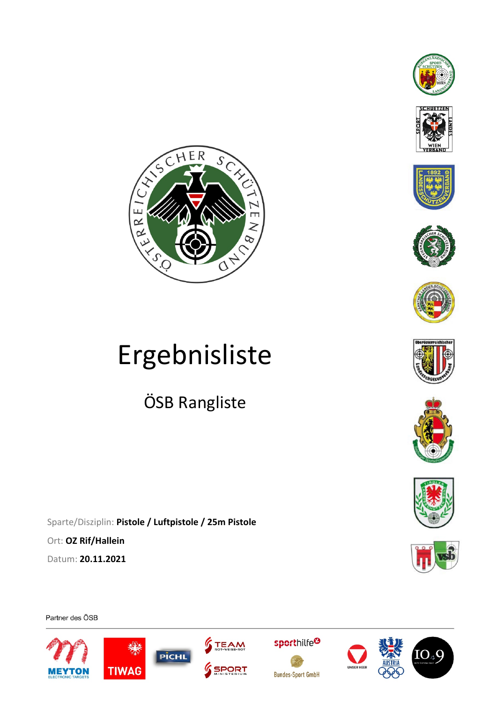



















# Ergebnisliste

ÖSB Rangliste

Sparte/Disziplin: **Pistole / Luftpistole / 25m Pistole**  Ort: **OZ Rif/Hallein**  Datum: **20.11.2021** 

Partner des ÖSB







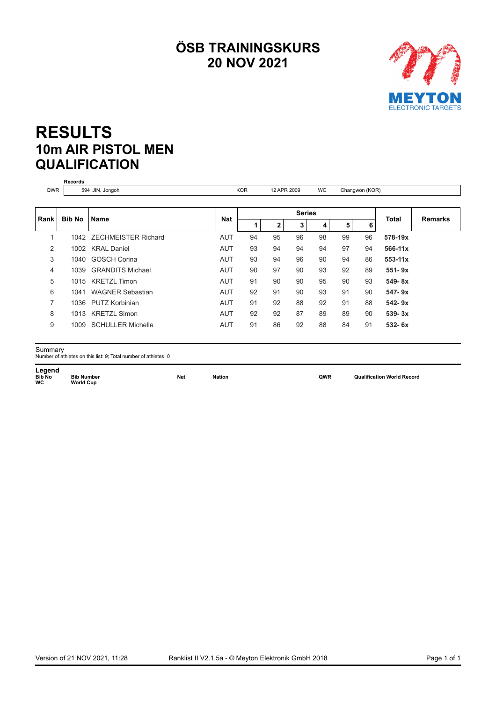## **ÖSB TRAININGSKURS 20 NOV 2021**



## **RESULTS 10m AIR PISTOL MEN QUALIFICATION**

|      | <b>Records</b><br>594 JIN, Jongoh |                            |            | 12 APR 2009   |              |    |           |                |    |             |                |
|------|-----------------------------------|----------------------------|------------|---------------|--------------|----|-----------|----------------|----|-------------|----------------|
| QWR  |                                   |                            |            | <b>KOR</b>    |              |    | <b>WC</b> | Changwon (KOR) |    |             |                |
|      | <b>Bib No</b>                     | <b>Name</b>                |            | <b>Series</b> |              |    |           |                |    |             |                |
| Rank |                                   |                            | <b>Nat</b> |               | $\mathbf{2}$ | 3  | 4         | 5              | 6  | Total       | <b>Remarks</b> |
|      | 1042                              | <b>ZECHMEISTER Richard</b> | <b>AUT</b> | 94            | 95           | 96 | 98        | 99             | 96 | 578-19x     |                |
| 2    | 1002                              | <b>KRAL Daniel</b>         | <b>AUT</b> | 93            | 94           | 94 | 94        | 97             | 94 | 566-11x     |                |
| 3    | 1040                              | <b>GOSCH Corina</b>        | <b>AUT</b> | 93            | 94           | 96 | 90        | 94             | 86 | $553 - 11x$ |                |
| 4    | 1039                              | <b>GRANDITS Michael</b>    | <b>AUT</b> | 90            | 97           | 90 | 93        | 92             | 89 | $551 - 9x$  |                |
| 5    |                                   | 1015 KRETZL Timon          | <b>AUT</b> | 91            | 90           | 90 | 95        | 90             | 93 | $549 - 8x$  |                |
| 6    | 1041                              | <b>WAGNER Sebastian</b>    | <b>AUT</b> | 92            | 91           | 90 | 93        | 91             | 90 | $547 - 9x$  |                |
| 7    |                                   | 1036 PUTZ Korbinian        | <b>AUT</b> | 91            | 92           | 88 | 92        | 91             | 88 | $542 - 9x$  |                |
| 8    |                                   | 1013 KRETZL Simon          | <b>AUT</b> | 92            | 92           | 87 | 89        | 89             | 90 | $539 - 3x$  |                |
| 9    | 1009                              | <b>SCHULLER Michelle</b>   | <b>AUT</b> | 91            | 86           | 92 | 88        | 84             | 91 | $532 - 6x$  |                |

 $\mathsf{Summary} \ \mathsf{Number}$  of athletes on this list: 9; Total number of athletes: 0

Legend<br>**Bib No**<br>WC **Bib Number**<br>World Cup

**B Nation Bibb QWR Qualification World Record**